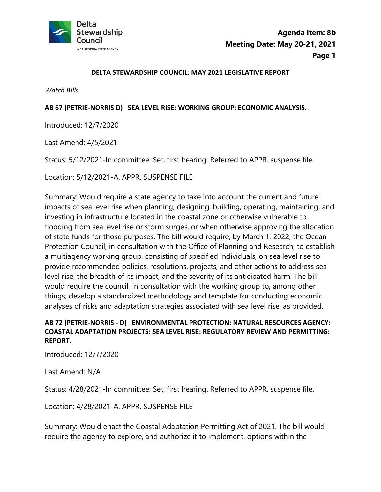

#### **DELTA STEWARDSHIP COUNCIL: MAY 2021 LEGISLATIVE REPORT**

*Watch Bills* 

#### **AB 67 (PETRIE-NORRIS D) SEA LEVEL RISE: WORKING GROUP: ECONOMIC ANALYSIS.**

Introduced: 12/7/2020

Last Amend: 4/5/2021

Status: 5/12/2021-In committee: Set, first hearing. Referred to APPR. suspense file.

Location: 5/12/2021-A. APPR. SUSPENSE FILE

Summary: Would require a state agency to take into account the current and future impacts of sea level rise when planning, designing, building, operating, maintaining, and investing in infrastructure located in the coastal zone or otherwise vulnerable to flooding from sea level rise or storm surges, or when otherwise approving the allocation of state funds for those purposes. The bill would require, by March 1, 2022, the Ocean Protection Council, in consultation with the Office of Planning and Research, to establish a multiagency working group, consisting of specified individuals, on sea level rise to provide recommended policies, resolutions, projects, and other actions to address sea level rise, the breadth of its impact, and the severity of its anticipated harm. The bill would require the council, in consultation with the working group to, among other things, develop a standardized methodology and template for conducting economic analyses of risks and adaptation strategies associated with sea level rise, as provided.

## **AB 72 (PETRIE-NORRIS - D) ENVIRONMENTAL PROTECTION: NATURAL RESOURCES AGENCY: COASTAL ADAPTATION PROJECTS: SEA LEVEL RISE: REGULATORY REVIEW AND PERMITTING: REPORT.**

Introduced: 12/7/2020

Last Amend: N/A

Status: 4/28/2021-In committee: Set, first hearing. Referred to APPR. suspense file.<br>Location: 4/28/2021-A. APPR. SUSPENSE FILE

Summary: Would enact the Coastal Adaptation Permitting Act of 2021. The bill would require the agency to explore, and authorize it to implement, options within the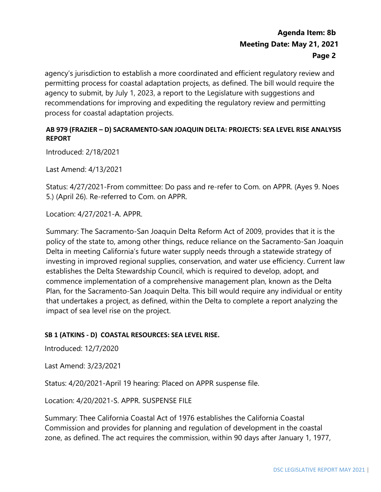agency's jurisdiction to establish a more coordinated and efficient regulatory review and permitting process for coastal adaptation projects, as defined. The bill would require the agency to submit, by July 1, 2023, a report to the Legislature with suggestions and recommendations for improving and expediting the regulatory review and permitting process for coastal adaptation projects.

## **AB 979 (FRAZIER – D) SACRAMENTO-SAN JOAQUIN DELTA: PROJECTS: SEA LEVEL RISE ANALYSIS REPORT**

Introduced: 2/18/2021

Last Amend: 4/13/2021

Status: 4/27/2021-From committee: Do pass and re-refer to Com. on APPR. (Ayes 9. Noes 5.) (April 26). Re-referred to Com. on APPR.

Location: 4/27/2021-A. APPR.

Summary: The Sacramento-San Joaquin Delta Reform Act of 2009, provides that it is the policy of the state to, among other things, reduce reliance on the Sacramento-San Joaquin Delta in meeting California's future water supply needs through a statewide strategy of investing in improved regional supplies, conservation, and water use efficiency. Current law establishes the Delta Stewardship Council, which is required to develop, adopt, and commence implementation of a comprehensive management plan, known as the Delta Plan, for the Sacramento-San Joaquin Delta. This bill would require any individual or entity that undertakes a project, as defined, within the Delta to complete a report analyzing the impact of sea level rise on the project.

## **SB 1 (ATKINS - D) COASTAL RESOURCES: SEA LEVEL RISE.**

Introduced: 12/7/2020

Last Amend: 3/23/2021

Status: 4/20/2021-April 19 hearing: Placed on APPR suspense file.

Location: 4/20/2021-S. APPR. SUSPENSE FILE

Summary: Thee California Coastal Act of 1976 establishes the California Coastal Commission and provides for planning and regulation of development in the coastal zone, as defined. The act requires the commission, within 90 days after January 1, 1977,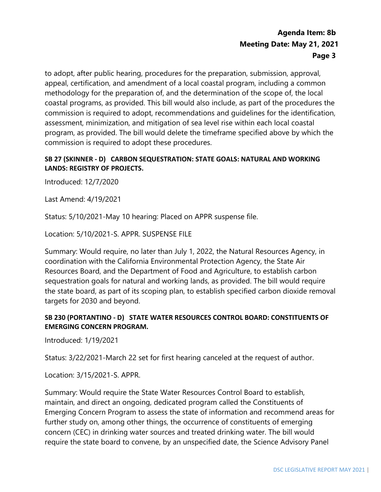coastal programs, as provided. This bill would also include, as part of the procedures the commission is required to adopt these procedures. to adopt, after public hearing, procedures for the preparation, submission, approval, appeal, certification, and amendment of a local coastal program, including a common methodology for the preparation of, and the determination of the scope of, the local commission is required to adopt, recommendations and guidelines for the identification, assessment, minimization, and mitigation of sea level rise within each local coastal program, as provided. The bill would delete the timeframe specified above by which the

## **SB 27 (SKINNER - D) CARBON SEQUESTRATION: STATE GOALS: NATURAL AND WORKING LANDS: REGISTRY OF PROJECTS.**

Introduced: 12/7/2020

Last Amend: 4/19/2021

Status: 5/10/2021-May 10 hearing: Placed on APPR suspense file.

Location: 5/10/2021-S. APPR. SUSPENSE FILE

Summary: Would require, no later than July 1, 2022, the Natural Resources Agency, in coordination with the California Environmental Protection Agency, the State Air Resources Board, and the Department of Food and Agriculture, to establish carbon sequestration goals for natural and working lands, as provided. The bill would require the state board, as part of its scoping plan, to establish specified carbon dioxide removal targets for 2030 and beyond.

### **SB 230 (PORTANTINO - D) STATE WATER RESOURCES CONTROL BOARD: CONSTITUENTS OF EMERGING CONCERN PROGRAM.**

Introduced: 1/19/2021

Status: 3/22/2021-March 22 set for first hearing canceled at the request of author.

Location: 3/15/2021-S. APPR.

 require the state board to convene, by an unspecified date, the Science Advisory Panel Summary: Would require the State Water Resources Control Board to establish, maintain, and direct an ongoing, dedicated program called the Constituents of Emerging Concern Program to assess the state of information and recommend areas for further study on, among other things, the occurrence of constituents of emerging concern (CEC) in drinking water sources and treated drinking water. The bill would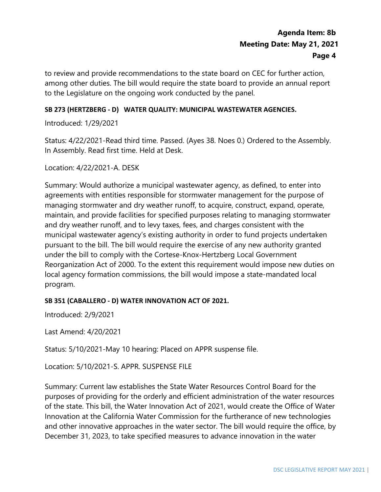to review and provide recommendations to the state board on CEC for further action, among other duties. The bill would require the state board to provide an annual report to the Legislature on the ongoing work conducted by the panel.

### **SB 273 (HERTZBERG - D) WATER QUALITY: MUNICIPAL WASTEWATER AGENCIES.**

Introduced: 1/29/2021

Status: 4/22/2021-Read third time. Passed. (Ayes 38. Noes 0.) Ordered to the Assembly. In Assembly. Read first time. Held at Desk.

Location: 4/22/2021-A. DESK

Summary: Would authorize a municipal wastewater agency, as defined, to enter into agreements with entities responsible for stormwater management for the purpose of managing stormwater and dry weather runoff, to acquire, construct, expand, operate, maintain, and provide facilities for specified purposes relating to managing stormwater and dry weather runoff, and to levy taxes, fees, and charges consistent with the municipal wastewater agency's existing authority in order to fund projects undertaken pursuant to the bill. The bill would require the exercise of any new authority granted under the bill to comply with the Cortese-Knox-Hertzberg Local Government Reorganization Act of 2000. To the extent this requirement would impose new duties on local agency formation commissions, the bill would impose a state-mandated local program.

### **SB 351 (CABALLERO - D) WATER INNOVATION ACT OF 2021.**

Introduced: 2/9/2021

Last Amend: 4/20/2021

Status: 5/10/2021-May 10 hearing: Placed on APPR suspense file.

Location: 5/10/2021-S. APPR. SUSPENSE FILE

 Innovation at the California Water Commission for the furtherance of new technologies Summary: Current law establishes the State Water Resources Control Board for the purposes of providing for the orderly and efficient administration of the water resources of the state. This bill, the Water Innovation Act of 2021, would create the Office of Water and other innovative approaches in the water sector. The bill would require the office, by December 31, 2023, to take specified measures to advance innovation in the water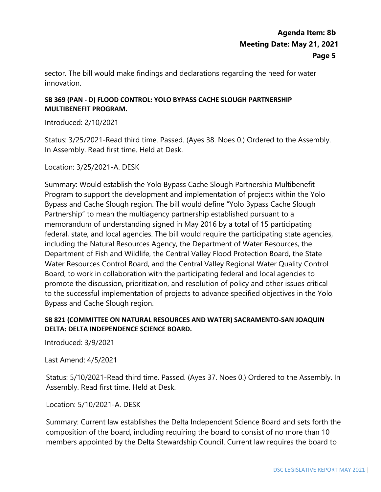sector. The bill would make findings and declarations regarding the need for water innovation.

## **SB 369 (PAN - D) FLOOD CONTROL: YOLO BYPASS CACHE SLOUGH PARTNERSHIP MULTIBENEFIT PROGRAM.**

Introduced: 2/10/2021

Status: 3/25/2021-Read third time. Passed. (Ayes 38. Noes 0.) Ordered to the Assembly. In Assembly. Read first time. Held at Desk.

Location: 3/25/2021-A. DESK

 federal, state, and local agencies. The bill would require the participating state agencies, including the Natural Resources Agency, the Department of Water Resources, the Summary: Would establish the Yolo Bypass Cache Slough Partnership Multibenefit Program to support the development and implementation of projects within the Yolo Bypass and Cache Slough region. The bill would define "Yolo Bypass Cache Slough Partnership" to mean the multiagency partnership established pursuant to a memorandum of understanding signed in May 2016 by a total of 15 participating Department of Fish and Wildlife, the Central Valley Flood Protection Board, the State Water Resources Control Board, and the Central Valley Regional Water Quality Control Board, to work in collaboration with the participating federal and local agencies to promote the discussion, prioritization, and resolution of policy and other issues critical to the successful implementation of projects to advance specified objectives in the Yolo Bypass and Cache Slough region.

## **SB 821 (COMMITTEE ON NATURAL RESOURCES AND WATER) SACRAMENTO-SAN JOAQUIN DELTA: DELTA INDEPENDENCE SCIENCE BOARD.**

Introduced: 3/9/2021

Last Amend: 4/5/2021

 Status: 5/10/2021-Read third time. Passed. (Ayes 37. Noes 0.) Ordered to the Assembly. In Assembly. Read first time. Held at Desk.

Location: 5/10/2021-A. DESK

Summary: Current law establishes the Delta Independent Science Board and sets forth the composition of the board, including requiring the board to consist of no more than 10 members appointed by the Delta Stewardship Council. Current law requires the board to